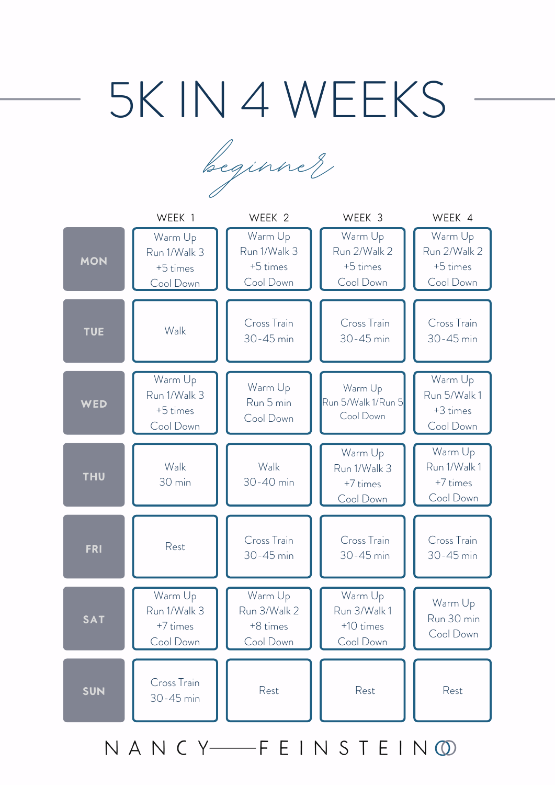# 5K IN 4 WEEKS

beginner,

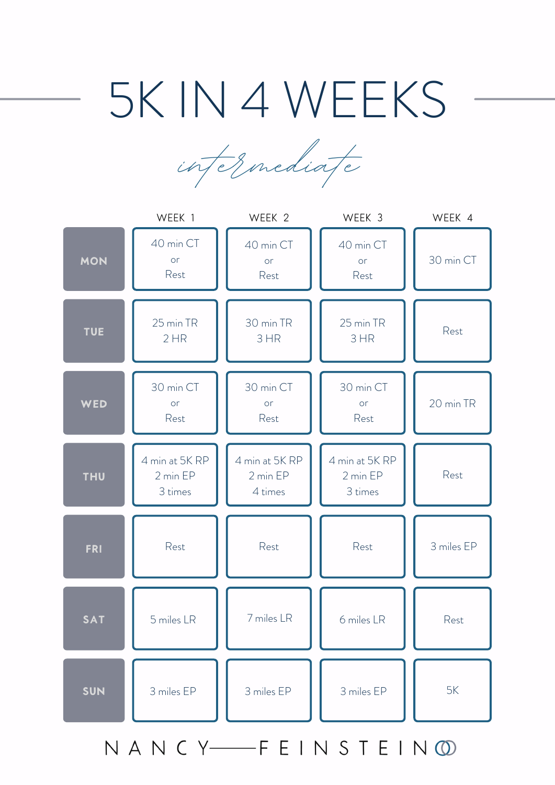## 5K IN 4 WEEKS

intermediate



NANCY-FEINSTEIN OD